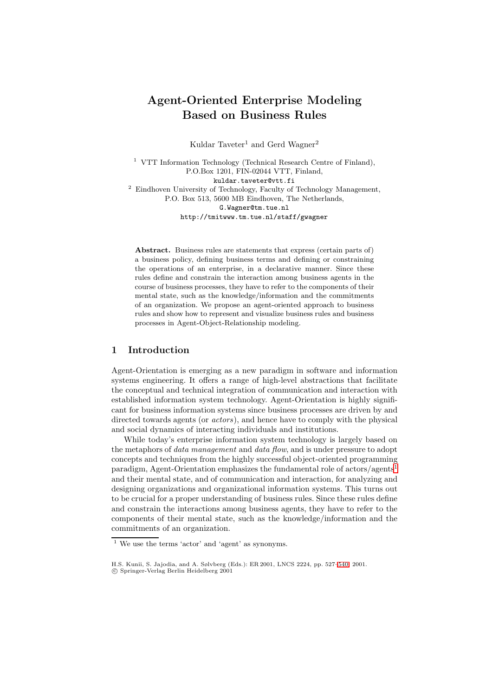# **Agent-Oriented Enterprise Modeling Based on Business Rules**

 $\rm Kuldar\ Taveter^1$  and  $\rm Gerd\ Wagner^2$ 

<sup>1</sup> VTT Information Technology (Technical Research Centre of Finland), P.O.Box 1201, FIN-02044 VTT, Finland, kuldar.taveter@vtt.fi <sup>2</sup> Eindhoven University of Technology, Faculty of Technology Management, P.O. Box 513, 5600 MB Eindhoven, The Netherlands, G.Wagner@tm.tue.nl

http://tmitwww.tm.tue.nl/staff/gwagner

**Abstract.** Business rules are statements that express (certain parts of) a business policy, defining business terms and defining or constraining the operations of an enterprise, in a declarative manner. Since these rules define and constrain the interaction among business agents in the course of business processes, they have to refer to the components of their mental state, such as the knowledge/information and the commitments of an organization. We propose an agent-oriented approach to business rules and show how to represent and visualize business rules and business processes in Agent-Object-Relationship modeling.

## **1 Introduction**

Agent-Orientation is emerging as a new paradigm in software and information systems engineering. It offers a range of high-level abstractions that facilitate the conceptual and technical integration of communication and interaction with established information system technology. Agent-Orientation is highly significant for business information systems since business processes are driven by and directed towards agents (or *actors*), and hence have to comply with the physical and social dynamics of interacting individuals and institutions.

While today's enterprise information system technology is largely based on the metaphors of *data management* and *data flow*, and is under pressure to adopt concepts and techniques from the highly successful object-oriented programming paradigm, Agent-Orientation emphasizes the fundamental role of actors/agents[1](#page-0-0) and their mental state, and of communication and interaction, for analyzing and designing organizations and organizational information systems. This turns out to be crucial for a proper understanding of business rules. Since these rules define and constrain the interactions among business agents, they have to refer to the components of their mental state, such as the knowledge/information and the commitments of an organization.

<span id="page-0-0"></span> $<sup>1</sup>$  We use the terms 'actor' and 'agent' as synonyms.</sup>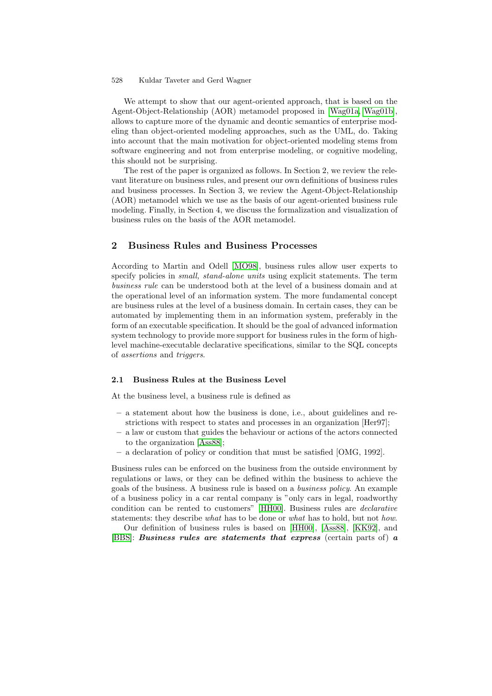We attempt to show that our agent-oriented approach, that is based on the Agent-Object-Relationship (AOR) metamodel proposed in [\[Wag01a,](#page-13-1) [Wag01b\]](#page-13-2), allows to capture more of the dynamic and deontic semantics of enterprise modeling than object-oriented modeling approaches, such as the UML, do. Taking into account that the main motivation for object-oriented modeling stems from software engineering and not from enterprise modeling, or cognitive modeling, this should not be surprising.

The rest of the paper is organized as follows. In Section 2, we review the relevant literature on business rules, and present our own definitions of business rules and business processes. In Section 3, we review the Agent-Object-Relationship (AOR) metamodel which we use as the basis of our agent-oriented business rule modeling. Finally, in Section 4, we discuss the formalization and visualization of business rules on the basis of the AOR metamodel.

## **2 Business Rules and Business Processes**

According to Martin and Odell [\[MO98\]](#page-13-3), business rules allow user experts to specify policies in *small, stand-alone units* using explicit statements. The term *business rule* can be understood both at the level of a business domain and at the operational level of an information system. The more fundamental concept are business rules at the level of a business domain. In certain cases, they can be automated by implementing them in an information system, preferably in the form of an executable specification. It should be the goal of advanced information system technology to provide more support for business rules in the form of highlevel machine-executable declarative specifications, similar to the SQL concepts of *assertions* and *triggers*.

## **2.1 Business Rules at the Business Level**

At the business level, a business rule is defined as

- **–** a statement about how the business is done, i.e., about guidelines and restrictions with respect to states and processes in an organization [Her97];
- **–** a law or custom that guides the behaviour or actions of the actors connected to the organization [\[Ass88\]](#page-12-0);
- **–** a declaration of policy or condition that must be satisfied [OMG, 1992].

Business rules can be enforced on the business from the outside environment by regulations or laws, or they can be defined within the business to achieve the goals of the business. A business rule is based on a *business policy*. An example of a business policy in a car rental company is "only cars in legal, roadworthy condition can be rented to customers" [\[HH00\]](#page-12-1). Business rules are *declarative* statements: they describe *what* has to be done or *what* has to hold, but not *how*.

Our definition of business rules is based on [\[HH00\]](#page-12-1), [\[Ass88\]](#page-12-0), [\[KK92\]](#page-12-2), and [\[BBS\]](#page-12-3): *Business rules are statements that express* (certain parts of) *a*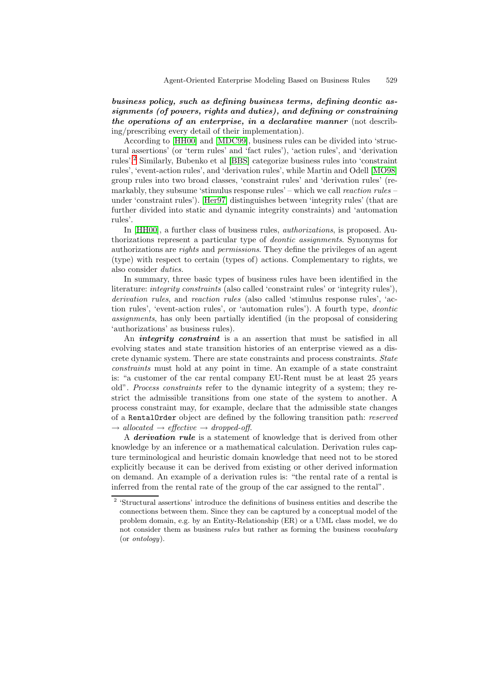*business policy, such as defining business terms, defining deontic assignments (of powers, rights and duties), and defining or constraining the operations of an enterprise, in a declarative manner* (not describing/prescribing every detail of their implementation).

According to [\[HH00\]](#page-12-1) and [\[MDC99\]](#page-13-4), business rules can be divided into 'structural assertions' (or 'term rules' and 'fact rules'), 'action rules', and 'derivation rules'.[2](#page-2-0) Similarly, Bubenko et al [\[BBS\]](#page-12-3) categorize business rules into 'constraint rules', 'event-action rules', and 'derivation rules', while Martin and Odell [\[MO98\]](#page-13-3) group rules into two broad classes, 'constraint rules' and 'derivation rules' (remarkably, they subsume 'stimulus response rules' – which we call *reaction rules* – under 'constraint rules'). [\[Her97\]](#page-12-4) distinguishes between 'integrity rules' (that are further divided into static and dynamic integrity constraints) and 'automation rules'.

In [\[HH00\]](#page-12-1), a further class of business rules, *authorizations*, is proposed. Authorizations represent a particular type of *deontic assignments*. Synonyms for authorizations are *rights* and *permissions*. They define the privileges of an agent (type) with respect to certain (types of) actions. Complementary to rights, we also consider *duties*.

In summary, three basic types of business rules have been identified in the literature: *integrity constraints* (also called 'constraint rules' or 'integrity rules'), *derivation rules*, and *reaction rules* (also called 'stimulus response rules', 'action rules', 'event-action rules', or 'automation rules'). A fourth type, *deontic assignments*, has only been partially identified (in the proposal of considering 'authorizations' as business rules).

An *integrity constraint* is a an assertion that must be satisfied in all evolving states and state transition histories of an enterprise viewed as a discrete dynamic system. There are state constraints and process constraints. *State constraints* must hold at any point in time. An example of a state constraint is: "a customer of the car rental company EU-Rent must be at least 25 years old". *Process constraints* refer to the dynamic integrity of a system; they restrict the admissible transitions from one state of the system to another. A process constraint may, for example, declare that the admissible state changes of a RentalOrder object are defined by the following transition path: *reserved*  $\rightarrow$  *allocated*  $\rightarrow$  *effective*  $\rightarrow$  *dropped-off.* 

A *derivation rule* is a statement of knowledge that is derived from other knowledge by an inference or a mathematical calculation. Derivation rules capture terminological and heuristic domain knowledge that need not to be stored explicitly because it can be derived from existing or other derived information on demand. An example of a derivation rules is: "the rental rate of a rental is inferred from the rental rate of the group of the car assigned to the rental".

<span id="page-2-0"></span> $^{\rm 2}$  'Structural assertions' introduce the definitions of business entities and describe the connections between them. Since they can be captured by a conceptual model of the problem domain, e.g. by an Entity-Relationship (ER) or a UML class model, we do not consider them as business *rules* but rather as forming the business *vocabulary* (or *ontology*).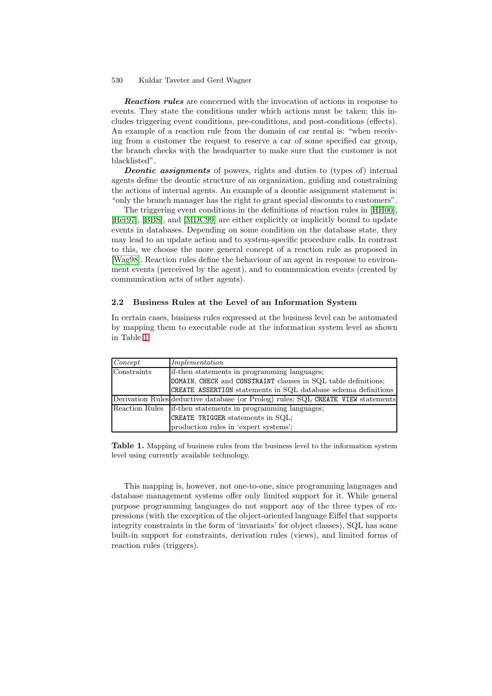*Reaction rules* are concerned with the invocation of actions in response to events. They state the conditions under which actions must be taken; this includes triggering event conditions, pre-conditions, and post-conditions (effects). An example of a reaction rule from the domain of car rental is: "when receiving from a customer the request to reserve a car of some specified car group, the branch checks with the headquarter to make sure that the customer is not blacklisted".

*Deontic assignments* of powers, rights and duties to (types of) internal agents define the deontic structure of an organization, guiding and constraining the actions of internal agents. An example of a deontic assignment statement is: "only the branch manager has the right to grant special discounts to customers".

The triggering event conditions in the definitions of reaction rules in [\[HH00\]](#page-12-1), [\[Her97\]](#page-12-4), [\[BBS\]](#page-12-3), and [\[MDC99\]](#page-13-4) are either explicitly or implicitly bound to update events in databases. Depending on some condition on the database state, they may lead to an update action and to system-specific procedure calls. In contrast to this, we choose the more general concept of a reaction rule as proposed in [\[Wag98\]](#page-13-5). Reaction rules define the behaviour of an agent in response to environment events (perceived by the agent), and to communication events (created by communication acts of other agents).

#### **2.2 Business Rules at the Level of an Information System**

In certain cases, business rules expressed at the business level can be automated by mapping them to executable code at the information system level as shown in Table [1.](#page-3-0)

| Concept     | Implementation                                                                    |
|-------------|-----------------------------------------------------------------------------------|
| Constraints | lif-then statements in programming languages;                                     |
|             | DOMAIN, CHECK and CONSTRAINT clauses in SQL table definitions;                    |
|             | CREATE ASSERTION statements in SQL database schema definitions                    |
|             | Derivation Rules deductive database (or Prolog) rules; SQL CREATE VIEW statements |
|             | Reaction Rules lif-then statements in programming languages;                      |
|             | CREATE TRIGGER statements in SQL;                                                 |
|             | production rules in 'expert systems';                                             |

<span id="page-3-0"></span>**Table 1.** Mapping of business rules from the business level to the information system level using currently available technology.

This mapping is, however, not one-to-one, since programming languages and database management systems offer only limited support for it. While general purpose programming languages do not support any of the three types of expressions (with the exception of the object-oriented language Eiffel that supports integrity constraints in the form of 'invariants' for object classes), SQL has some built-in support for constraints, derivation rules (views), and limited forms of reaction rules (triggers).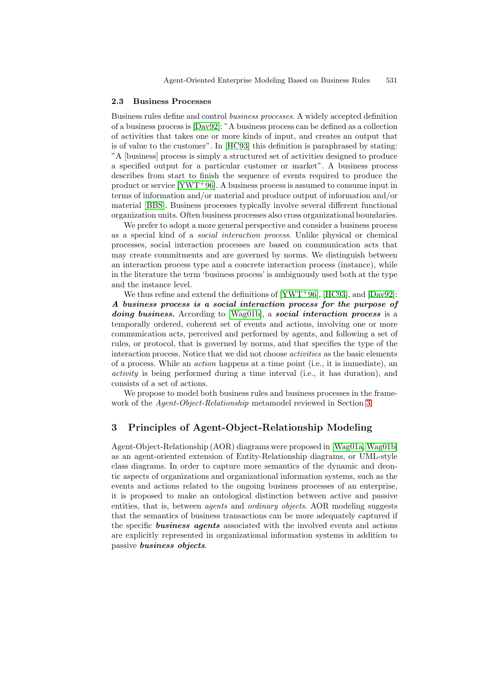#### **2.3 Business Processes**

Business rules define and control *business processes*. A widely accepted definition of a business process is [\[Dav92\]](#page-12-5): "A business process can be defined as a collection of activities that takes one or more kinds of input, and creates an output that is of value to the customer". In [\[HC93\]](#page-12-6) this definition is paraphrased by stating: "A [business] process is simply a structured set of activities designed to produce a specified output for a particular customer or market". A business process describes from start to finish the sequence of events required to produce the product or service [\[YWT](#page-13-6)+96]. A business process is assumed to consume input in terms of information and/or material and produce output of information and/or material [\[BBS\]](#page-12-3). Business processes typically involve several different functional organization units. Often business processes also cross organizational boundaries.

We prefer to adopt a more general perspective and consider a business process as a special kind of a *social interaction process*. Unlike physical or chemical processes, social interaction processes are based on communication acts that may create commitments and are governed by norms. We distinguish between an interaction process type and a concrete interaction process (instance), while in the literature the term 'business process' is ambiguously used both at the type and the instance level.

We thus refine and extend the definitions of  $\lbrack \text{YWT}^{+}96 \rbrack$ ,  $\lbrack \text{HC93} \rbrack$ , and  $\lbrack \text{Day92} \rbrack$ : *A business process is a social interaction process for the purpose of doing business.* According to [\[Wag01b\]](#page-13-2), a *social interaction process* is a temporally ordered, coherent set of events and actions, involving one or more communication acts, perceived and performed by agents, and following a set of rules, or protocol, that is governed by norms, and that specifies the type of the interaction process. Notice that we did not choose *activities* as the basic elements of a process. While an *action* happens at a time point (i.e., it is immediate), an *activity* is being performed during a time interval (i.e., it has duration), and consists of a set of actions.

We propose to model both business rules and business processes in the framework of the *Agent-Object-Relationship* metamodel reviewed in Section [3.](#page-4-0)

## <span id="page-4-0"></span>**3 Principles of Agent-Object-Relationship Modeling**

Agent-Object-Relationship (AOR) diagrams were proposed in [\[Wag01a,](#page-13-1) [Wag01b\]](#page-13-2) as an agent-oriented extension of Entity-Relationship diagrams, or UML-style class diagrams. In order to capture more semantics of the dynamic and deontic aspects of organizations and organizational information systems, such as the events and actions related to the ongoing business processes of an enterprise, it is proposed to make an ontological distinction between active and passive entities, that is, between *agents* and *ordinary objects*. AOR modeling suggests that the semantics of business transactions can be more adequately captured if the specific *business agents* associated with the involved events and actions are explicitly represented in organizational information systems in addition to passive *business objects*.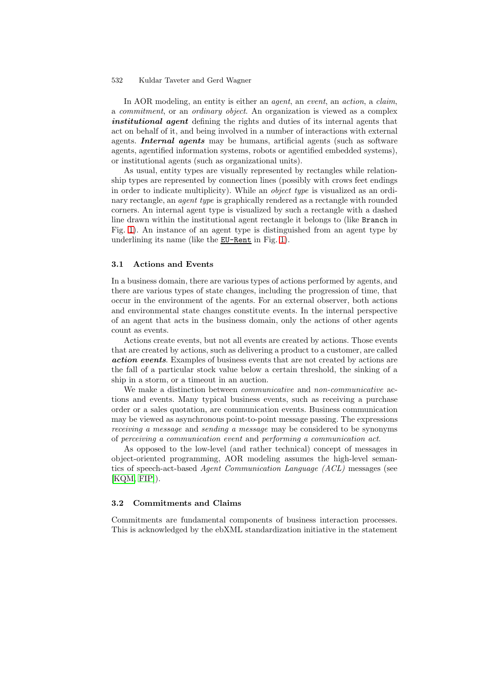In AOR modeling, an entity is either an *agent*, an *event*, an *action*, a *claim*, a *commitment*, or an *ordinary object*. An organization is viewed as a complex *institutional agent* defining the rights and duties of its internal agents that act on behalf of it, and being involved in a number of interactions with external agents. *Internal agents* may be humans, artificial agents (such as software agents, agentified information systems, robots or agentified embedded systems), or institutional agents (such as organizational units).

As usual, entity types are visually represented by rectangles while relationship types are represented by connection lines (possibly with crows feet endings in order to indicate multiplicity). While an *object type* is visualized as an ordinary rectangle, an *agent type* is graphically rendered as a rectangle with rounded corners. An internal agent type is visualized by such a rectangle with a dashed line drawn within the institutional agent rectangle it belongs to (like Branch in Fig. [1\)](#page-7-0). An instance of an agent type is distinguished from an agent type by underlining its name (like the EU-Rent in Fig. [1\)](#page-7-0).

#### **3.1 Actions and Events**

In a business domain, there are various types of actions performed by agents, and there are various types of state changes, including the progression of time, that occur in the environment of the agents. For an external observer, both actions and environmental state changes constitute events. In the internal perspective of an agent that acts in the business domain, only the actions of other agents count as events.

Actions create events, but not all events are created by actions. Those events that are created by actions, such as delivering a product to a customer, are called *action events*. Examples of business events that are not created by actions are the fall of a particular stock value below a certain threshold, the sinking of a ship in a storm, or a timeout in an auction.

We make a distinction between *communicative* and *non-communicative* actions and events. Many typical business events, such as receiving a purchase order or a sales quotation, are communication events. Business communication may be viewed as asynchronous point-to-point message passing. The expressions *receiving a message* and *sending a message* may be considered to be synonyms of *perceiving a communication event* and *performing a communication act*.

As opposed to the low-level (and rather technical) concept of messages in object-oriented programming, AOR modeling assumes the high-level semantics of speech-act-based *Agent Communication Language (ACL)* messages (see [\[KQM,](#page-12-7) [FIP\]](#page-12-8)).

#### **3.2 Commitments and Claims**

Commitments are fundamental components of business interaction processes. This is acknowledged by the ebXML standardization initiative in the statement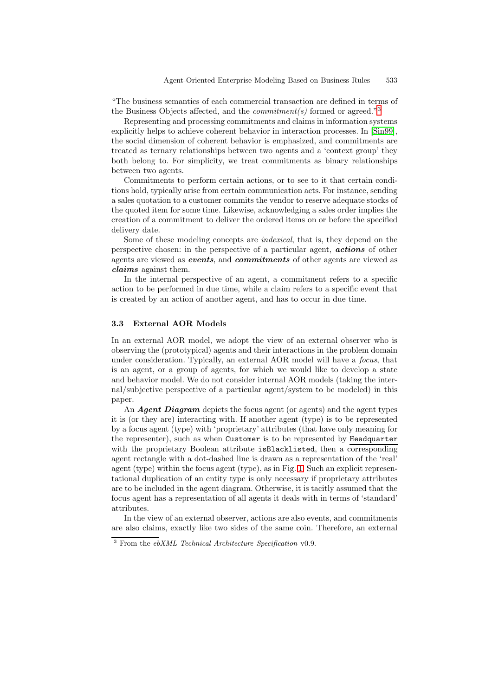"The business semantics of each commercial transaction are defined in terms of the Business Objects affected, and the *commitment(s)* formed or agreed."[3](#page-6-0)

Representing and processing commitments and claims in information systems explicitly helps to achieve coherent behavior in interaction processes. In [\[Sin99\]](#page-13-7), the social dimension of coherent behavior is emphasized, and commitments are treated as ternary relationships between two agents and a 'context group' they both belong to. For simplicity, we treat commitments as binary relationships between two agents.

Commitments to perform certain actions, or to see to it that certain conditions hold, typically arise from certain communication acts. For instance, sending a sales quotation to a customer commits the vendor to reserve adequate stocks of the quoted item for some time. Likewise, acknowledging a sales order implies the creation of a commitment to deliver the ordered items on or before the specified delivery date.

Some of these modeling concepts are *indexical*, that is, they depend on the perspective chosen: in the perspective of a particular agent, *actions* of other agents are viewed as *events*, and *commitments* of other agents are viewed as *claims* against them.

In the internal perspective of an agent, a commitment refers to a specific action to be performed in due time, while a claim refers to a specific event that is created by an action of another agent, and has to occur in due time.

#### **3.3 External AOR Models**

In an external AOR model, we adopt the view of an external observer who is observing the (prototypical) agents and their interactions in the problem domain under consideration. Typically, an external AOR model will have a *focus*, that is an agent, or a group of agents, for which we would like to develop a state and behavior model. We do not consider internal AOR models (taking the internal/subjective perspective of a particular agent/system to be modeled) in this paper.

An *Agent Diagram* depicts the focus agent (or agents) and the agent types it is (or they are) interacting with. If another agent (type) is to be represented by a focus agent (type) with 'proprietary' attributes (that have only meaning for the representer), such as when Customer is to be represented by Headquarter with the proprietary Boolean attribute is Blacklisted, then a corresponding agent rectangle with a dot-dashed line is drawn as a representation of the 'real' agent (type) within the focus agent (type), as in Fig. [1.](#page-7-0) Such an explicit representational duplication of an entity type is only necessary if proprietary attributes are to be included in the agent diagram. Otherwise, it is tacitly assumed that the focus agent has a representation of all agents it deals with in terms of 'standard' attributes.

In the view of an external observer, actions are also events, and commitments are also claims, exactly like two sides of the same coin. Therefore, an external

<span id="page-6-0"></span><sup>3</sup> From the *ebXML Technical Architecture Specification* v0.9.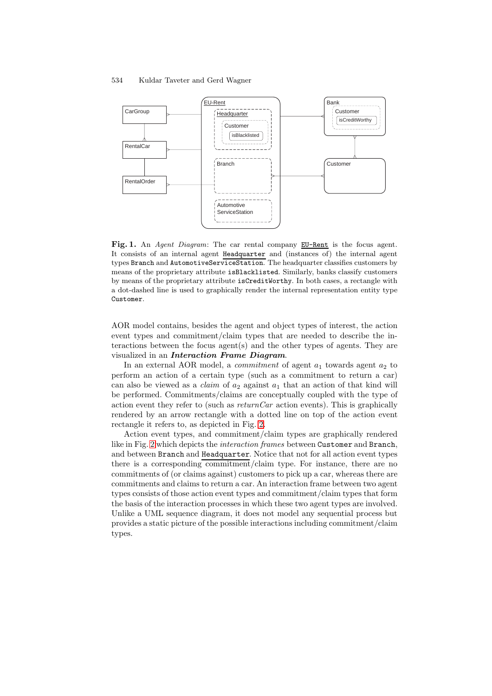

<span id="page-7-0"></span>Fig. 1. An *Agent Diagram*: The car rental company EU-Rent is the focus agent. It consists of an internal agent Headquarter and (instances of) the internal agent types Branch and AutomotiveServiceStation. The headquarter classifies customers by means of the proprietary attribute isBlacklisted. Similarly, banks classify customers by means of the proprietary attribute isCreditWorthy. In both cases, a rectangle with a dot-dashed line is used to graphically render the internal representation entity type Customer.

AOR model contains, besides the agent and object types of interest, the action event types and commitment/claim types that are needed to describe the interactions between the focus agent(s) and the other types of agents. They are visualized in an *Interaction Frame Diagram*.

In an external AOR model, a *commitment* of agent  $a_1$  towards agent  $a_2$  to perform an action of a certain type (such as a commitment to return a car) can also be viewed as a *claim* of  $a_2$  against  $a_1$  that an action of that kind will be performed. Commitments/claims are conceptually coupled with the type of action event they refer to (such as *returnCar* action events). This is graphically rendered by an arrow rectangle with a dotted line on top of the action event rectangle it refers to, as depicted in Fig. [2.](#page-8-0)

Action event types, and commitment/claim types are graphically rendered like in Fig. [2](#page-8-0) which depicts the *interaction frames* between Customer and Branch, and between Branch and Headquarter. Notice that not for all action event types there is a corresponding commitment/claim type. For instance, there are no commitments of (or claims against) customers to pick up a car, whereas there are commitments and claims to return a car. An interaction frame between two agent types consists of those action event types and commitment/claim types that form the basis of the interaction processes in which these two agent types are involved. Unlike a UML sequence diagram, it does not model any sequential process but provides a static picture of the possible interactions including commitment/claim types.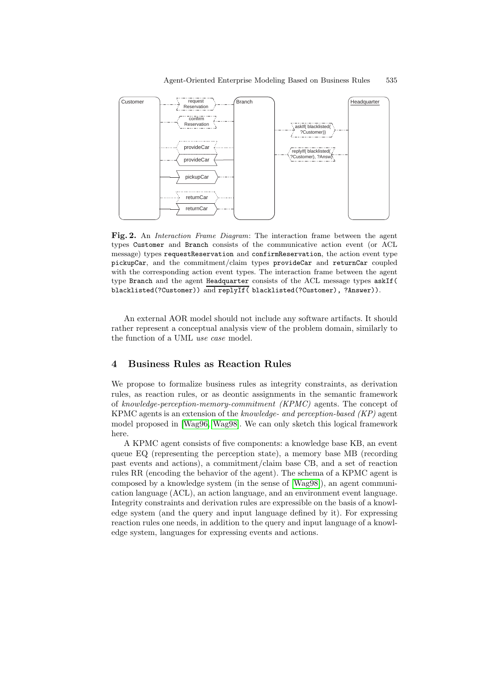

<span id="page-8-0"></span>**Fig. 2.** An *Interaction Frame Diagram*: The interaction frame between the agent types Customer and Branch consists of the communicative action event (or ACL message) types requestReservation and confirmReservation, the action event type pickupCar, and the commitment/claim types provideCar and returnCar coupled with the corresponding action event types. The interaction frame between the agent type Branch and the agent Headquarter consists of the ACL message types askIf( blacklisted(?Customer)) and replyIf( blacklisted(?Customer), ?Answer)).

An external AOR model should not include any software artifacts. It should rather represent a conceptual analysis view of the problem domain, similarly to the function of a UML *use case* model.

#### **4 Business Rules as Reaction Rules**

We propose to formalize business rules as integrity constraints, as derivation rules, as reaction rules, or as deontic assignments in the semantic framework of *knowledge-perception-memory-commitment (KPMC)* agents. The concept of KPMC agents is an extension of the *knowledge- and perception-based (KP)* agent model proposed in [\[Wag96,](#page-13-8) [Wag98\]](#page-13-5). We can only sketch this logical framework here.

A KPMC agent consists of five components: a knowledge base KB, an event queue EQ (representing the perception state), a memory base MB (recording past events and actions), a commitment/claim base CB, and a set of reaction rules RR (encoding the behavior of the agent). The schema of a KPMC agent is composed by a knowledge system (in the sense of [\[Wag98\]](#page-13-5)), an agent communication language (ACL), an action language, and an environment event language. Integrity constraints and derivation rules are expressible on the basis of a knowledge system (and the query and input language defined by it). For expressing reaction rules one needs, in addition to the query and input language of a knowledge system, languages for expressing events and actions.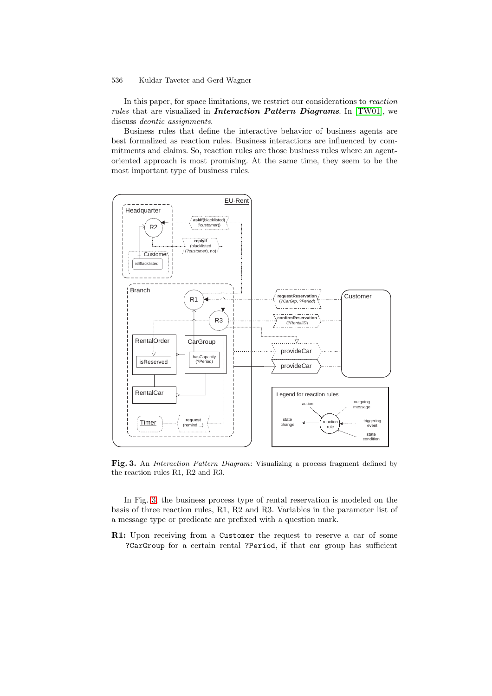In this paper, for space limitations, we restrict our considerations to *reaction rules* that are visualized in *Interaction Pattern Diagrams*. In [\[TW01\]](#page-13-9), we discuss *deontic assignments*.

Business rules that define the interactive behavior of business agents are best formalized as reaction rules. Business interactions are influenced by commitments and claims. So, reaction rules are those business rules where an agentoriented approach is most promising. At the same time, they seem to be the most important type of business rules.



<span id="page-9-0"></span>**Fig. 3.** An *Interaction Pattern Diagram*: Visualizing a process fragment defined by the reaction rules R1, R2 and R3.

In Fig. [3,](#page-9-0) the business process type of rental reservation is modeled on the basis of three reaction rules, R1, R2 and R3. Variables in the parameter list of a message type or predicate are prefixed with a question mark.

**R1:** Upon receiving from a Customer the request to reserve a car of some ?CarGroup for a certain rental ?Period, if that car group has sufficient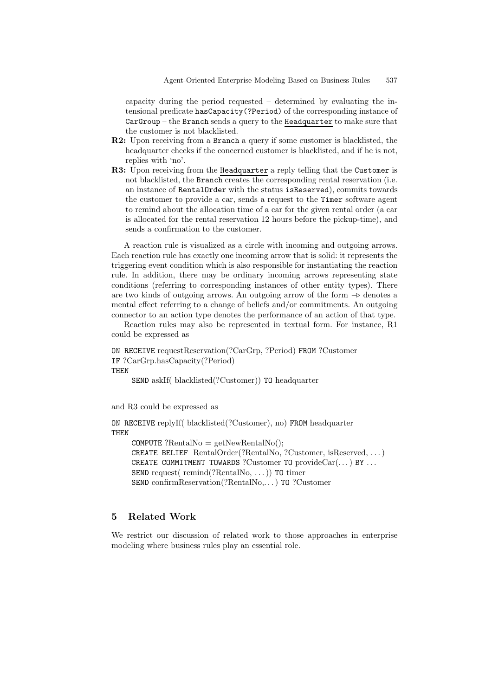capacity during the period requested – determined by evaluating the intensional predicate hasCapacity(?Period) of the corresponding instance of CarGroup – the Branch sends a query to the Headquarter to make sure that the customer is not blacklisted.

- **R2:** Upon receiving from a Branch a query if some customer is blacklisted, the headquarter checks if the concerned customer is blacklisted, and if he is not, replies with 'no'.
- **R3:** Upon receiving from the Headquarter a reply telling that the Customer is not blacklisted, the Branch creates the corresponding rental reservation (i.e. an instance of RentalOrder with the status isReserved), commits towards the customer to provide a car, sends a request to the Timer software agent to remind about the allocation time of a car for the given rental order (a car is allocated for the rental reservation 12 hours before the pickup-time), and sends a confirmation to the customer.

A reaction rule is visualized as a circle with incoming and outgoing arrows. Each reaction rule has exactly one incoming arrow that is solid: it represents the triggering event condition which is also responsible for instantiating the reaction rule. In addition, there may be ordinary incoming arrows representing state conditions (referring to corresponding instances of other entity types). There are two kinds of outgoing arrows. An outgoing arrow of the form  $\rightarrow$  denotes a mental effect referring to a change of beliefs and/or commitments. An outgoing connector to an action type denotes the performance of an action of that type.

Reaction rules may also be represented in textual form. For instance, R1 could be expressed as

```
ON RECEIVE requestReservation(?CarGrp, ?Period) FROM ?Customer
IF ?CarGrp.hasCapacity(?Period)
THEN
```
SEND askIf( blacklisted(?Customer)) TO headquarter

and R3 could be expressed as

```
ON RECEIVE replyIf( blacklisted(?Customer), no) FROM headquarter
THEN
```

```
COMPUTE ?RentalNo = getNewRentalNo :
CREATE BELIEF RentalOrder(?RentalNo, ?Customer, isReserved, . . . )
CREATE COMMITMENT TOWARDS ? Customer TO provide Car(\ldots) BY ...
SEND request( remind(?RentalNo, . . . )) TO timer
SEND confirmReservation(?RentalNo,. . . ) TO ?Customer
```
## **5 Related Work**

We restrict our discussion of related work to those approaches in enterprise modeling where business rules play an essential role.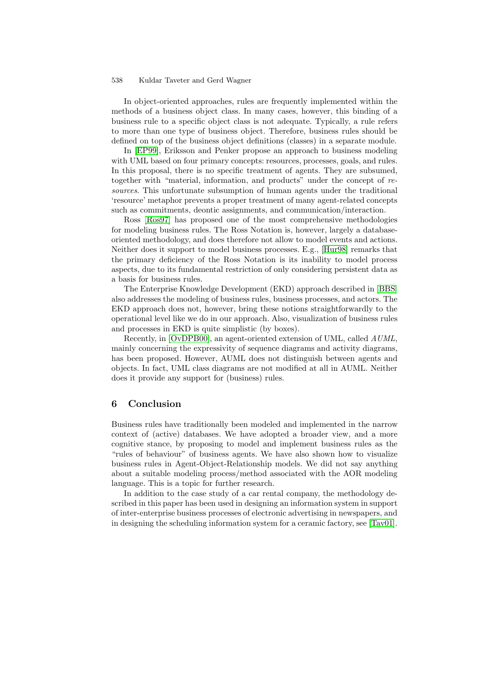In object-oriented approaches, rules are frequently implemented within the methods of a business object class. In many cases, however, this binding of a business rule to a specific object class is not adequate. Typically, a rule refers to more than one type of business object. Therefore, business rules should be defined on top of the business object definitions (classes) in a separate module.

In [\[EP99\]](#page-12-9), Eriksson and Penker propose an approach to business modeling with UML based on four primary concepts: resources, processes, goals, and rules. In this proposal, there is no specific treatment of agents. They are subsumed, together with "material, information, and products" under the concept of *resources*. This unfortunate subsumption of human agents under the traditional 'resource' metaphor prevents a proper treatment of many agent-related concepts such as commitments, deontic assignments, and communication/interaction.

Ross [\[Ros97\]](#page-13-10) has proposed one of the most comprehensive methodologies for modeling business rules. The Ross Notation is, however, largely a databaseoriented methodology, and does therefore not allow to model events and actions. Neither does it support to model business processes. E.g., [\[Hur98\]](#page-12-10) remarks that the primary deficiency of the Ross Notation is its inability to model process aspects, due to its fundamental restriction of only considering persistent data as a basis for business rules.

The Enterprise Knowledge Development (EKD) approach described in [\[BBS\]](#page-12-3) also addresses the modeling of business rules, business processes, and actors. The EKD approach does not, however, bring these notions straightforwardly to the operational level like we do in our approach. Also, visualization of business rules and processes in EKD is quite simplistic (by boxes).

Recently, in [\[OvDPB00\]](#page-13-11), an agent-oriented extension of UML, called *AUML*, mainly concerning the expressivity of sequence diagrams and activity diagrams, has been proposed. However, AUML does not distinguish between agents and objects. In fact, UML class diagrams are not modified at all in AUML. Neither does it provide any support for (business) rules.

# **6 Conclusion**

Business rules have traditionally been modeled and implemented in the narrow context of (active) databases. We have adopted a broader view, and a more cognitive stance, by proposing to model and implement business rules as the "rules of behaviour" of business agents. We have also shown how to visualize business rules in Agent-Object-Relationship models. We did not say anything about a suitable modeling process/method associated with the AOR modeling language. This is a topic for further research.

In addition to the case study of a car rental company, the methodology described in this paper has been used in designing an information system in support of inter-enterprise business processes of electronic advertising in newspapers, and in designing the scheduling information system for a ceramic factory, see [\[Tav01\]](#page-13-12).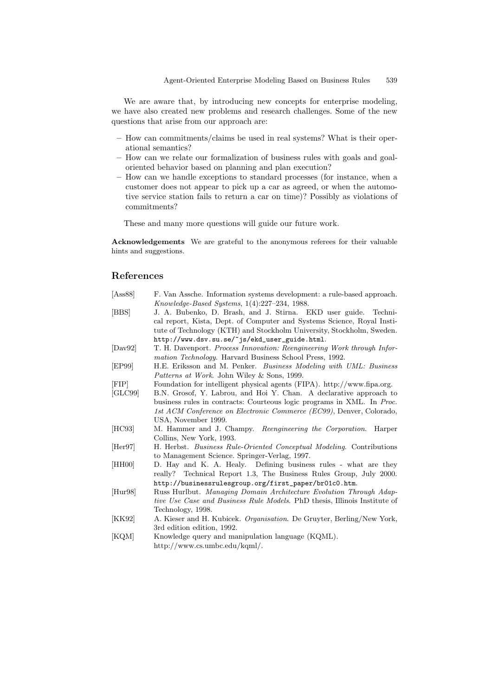We are aware that, by introducing new concepts for enterprise modeling, we have also created new problems and research challenges. Some of the new questions that arise from our approach are:

- **–** How can commitments/claims be used in real systems? What is their operational semantics?
- **–** How can we relate our formalization of business rules with goals and goaloriented behavior based on planning and plan execution?
- **–** How can we handle exceptions to standard processes (for instance, when a customer does not appear to pick up a car as agreed, or when the automotive service station fails to return a car on time)? Possibly as violations of commitments?

These and many more questions will guide our future work.

**Acknowledgements** We are grateful to the anonymous referees for their valuable hints and suggestions.

## **References**

<span id="page-12-10"></span><span id="page-12-9"></span><span id="page-12-8"></span><span id="page-12-7"></span><span id="page-12-6"></span><span id="page-12-5"></span><span id="page-12-4"></span><span id="page-12-3"></span><span id="page-12-2"></span><span id="page-12-1"></span><span id="page-12-0"></span>

| Ass88                    | F. Van Assche. Information systems development: a rule-based approach.        |
|--------------------------|-------------------------------------------------------------------------------|
|                          | $Knowledge-Based Systems, 1(4):227-234, 1988.$                                |
| [BBS]                    | J. A. Bubenko, D. Brash, and J. Stirna. EKD user guide. Techni-               |
|                          | cal report, Kista, Dept. of Computer and Systems Science, Royal Insti-        |
|                          | tute of Technology (KTH) and Stockholm University, Stockholm, Sweden.         |
|                          | http://www.dsv.su.se/"js/ekd_user_guide.html.                                 |
| $\left[$ Dav92 $\right]$ | T. H. Davenport. Process Innovation: Reengineering Work through Infor-        |
|                          | <i>mation Technology.</i> Harvard Business School Press, 1992.                |
| [EP99]                   | H.E. Eriksson and M. Penker. Business Modeling with UML: Business             |
|                          | <i>Patterns at Work.</i> John Wiley & Sons, 1999.                             |
| [FIP]                    | Foundation for intelligent physical agents (FIPA). http://www.fipa.org.       |
| [GLC99]                  | B.N. Grosof, Y. Labrou, and Hoi Y. Chan. A declarative approach to            |
|                          | business rules in contracts: Courteous logic programs in XML. In <i>Proc.</i> |
|                          | 1st ACM Conference on Electronic Commerce (EC99), Denver, Colorado,           |
|                          | USA, November 1999.                                                           |
| [HC93]                   | M. Hammer and J. Champy. Reengineering the Corporation.<br>Harper             |
|                          | Collins, New York, 1993.                                                      |
| [Her97]                  | H. Herbst. <i>Business Rule-Oriented Conceptual Modeling.</i> Contributions   |
|                          | to Management Science. Springer-Verlag, 1997.                                 |
| [HH00]                   | D. Hay and K. A. Healy. Defining business rules - what are they               |
|                          | really? Technical Report 1.3, The Business Rules Group, July 2000.            |
|                          | http://businessrulesgroup.org/first_paper/br01c0.htm.                         |
| [Hur98]                  | Russ Hurlbut. Managing Domain Architecture Evolution Through Adap-            |
|                          | tive Use Case and Business Rule Models. PhD thesis, Illinois Institute of     |
|                          | Technology, 1998.                                                             |
| [KK92]                   | A. Kieser and H. Kubicek. Organisation. De Gruyter, Berling/New York,         |
|                          | 3rd edition edition, 1992.                                                    |
| [KQM]                    | Knowledge query and manipulation language (KQML).                             |
|                          | http://www.cs.umbc.edu/kqml/.                                                 |